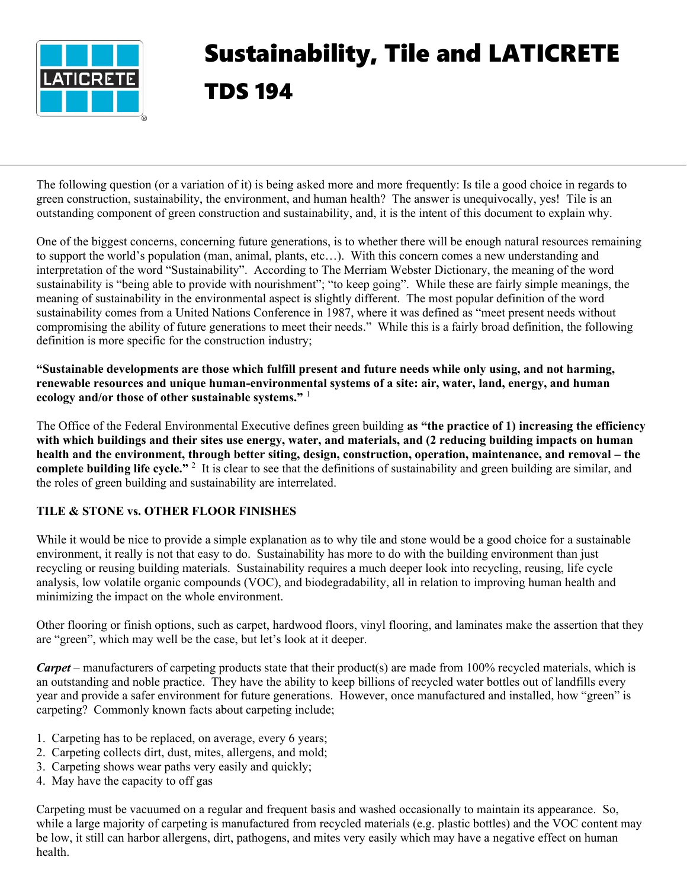

# Sustainability, Tile and LATICRETE TDS 194

The following question (or a variation of it) is being asked more and more frequently: Is tile a good choice in regards to green construction, sustainability, the environment, and human health? The answer is unequivocally, yes! Tile is an outstanding component of green construction and sustainability, and, it is the intent of this document to explain why.

One of the biggest concerns, concerning future generations, is to whether there will be enough natural resources remaining to support the world's population (man, animal, plants, etc…). With this concern comes a new understanding and interpretation of the word "Sustainability". According to The Merriam Webster Dictionary, the meaning of the word sustainability is "being able to provide with nourishment"; "to keep going". While these are fairly simple meanings, the meaning of sustainability in the environmental aspect is slightly different. The most popular definition of the word sustainability comes from a United Nations Conference in 1987, where it was defined as "meet present needs without compromising the ability of future generations to meet their needs." While this is a fairly broad definition, the following definition is more specific for the construction industry;

**"Sustainable developments are those which fulfill present and future needs while only using, and not harming, renewable resources and unique human-environmental systems of a site: air, water, land, energy, and human ecology and/or those of other sustainable systems."** <sup>1</sup>

The Office of the Federal Environmental Executive defines green building **as "the practice of 1) increasing the efficiency with which buildings and their sites use energy, water, and materials, and (2 reducing building impacts on human health and the environment, through better siting, design, construction, operation, maintenance, and removal – the**  complete building life cycle."<sup>2</sup> It is clear to see that the definitions of sustainability and green building are similar, and the roles of green building and sustainability are interrelated.

#### **TILE & STONE vs. OTHER FLOOR FINISHES**

While it would be nice to provide a simple explanation as to why tile and stone would be a good choice for a sustainable environment, it really is not that easy to do. Sustainability has more to do with the building environment than just recycling or reusing building materials. Sustainability requires a much deeper look into recycling, reusing, life cycle analysis, low volatile organic compounds (VOC), and biodegradability, all in relation to improving human health and minimizing the impact on the whole environment.

Other flooring or finish options, such as carpet, hardwood floors, vinyl flooring, and laminates make the assertion that they are "green", which may well be the case, but let's look at it deeper.

*Carpet* – manufacturers of carpeting products state that their product(s) are made from 100% recycled materials, which is an outstanding and noble practice. They have the ability to keep billions of recycled water bottles out of landfills every year and provide a safer environment for future generations. However, once manufactured and installed, how "green" is carpeting? Commonly known facts about carpeting include;

- 1. Carpeting has to be replaced, on average, every 6 years;
- 2. Carpeting collects dirt, dust, mites, allergens, and mold;
- 3. Carpeting shows wear paths very easily and quickly;
- 4. May have the capacity to off gas

Carpeting must be vacuumed on a regular and frequent basis and washed occasionally to maintain its appearance. So, while a large majority of carpeting is manufactured from recycled materials (e.g. plastic bottles) and the VOC content may be low, it still can harbor allergens, dirt, pathogens, and mites very easily which may have a negative effect on human health.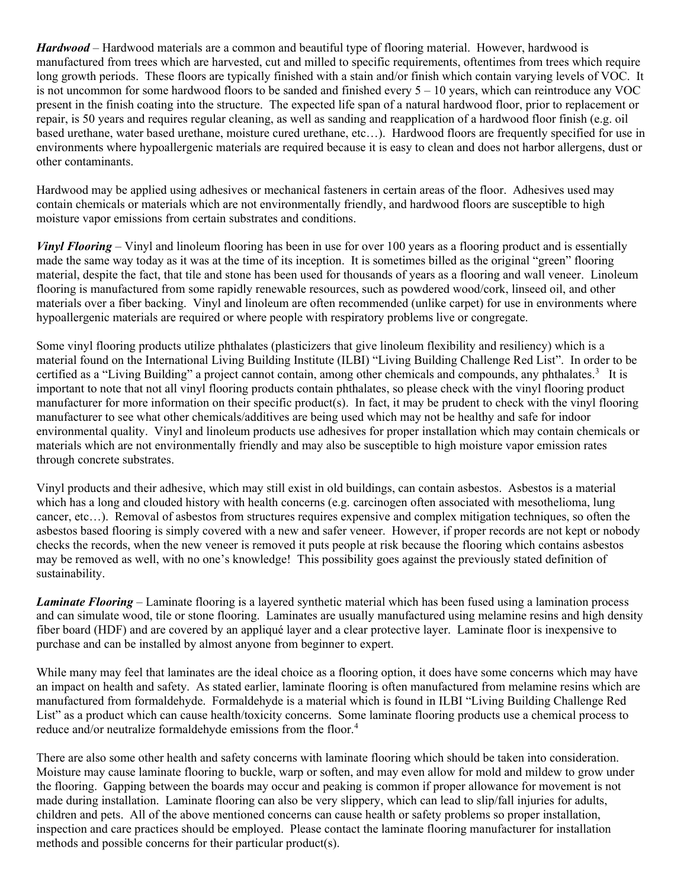*Hardwood* – Hardwood materials are a common and beautiful type of flooring material. However, hardwood is manufactured from trees which are harvested, cut and milled to specific requirements, oftentimes from trees which require long growth periods. These floors are typically finished with a stain and/or finish which contain varying levels of VOC. It is not uncommon for some hardwood floors to be sanded and finished every 5 – 10 years, which can reintroduce any VOC present in the finish coating into the structure. The expected life span of a natural hardwood floor, prior to replacement or repair, is 50 years and requires regular cleaning, as well as sanding and reapplication of a hardwood floor finish (e.g. oil based urethane, water based urethane, moisture cured urethane, etc…). Hardwood floors are frequently specified for use in environments where hypoallergenic materials are required because it is easy to clean and does not harbor allergens, dust or other contaminants.

Hardwood may be applied using adhesives or mechanical fasteners in certain areas of the floor. Adhesives used may contain chemicals or materials which are not environmentally friendly, and hardwood floors are susceptible to high moisture vapor emissions from certain substrates and conditions.

*Vinyl Flooring* – Vinyl and linoleum flooring has been in use for over 100 years as a flooring product and is essentially made the same way today as it was at the time of its inception. It is sometimes billed as the original "green" flooring material, despite the fact, that tile and stone has been used for thousands of years as a flooring and wall veneer. Linoleum flooring is manufactured from some rapidly renewable resources, such as powdered wood/cork, linseed oil, and other materials over a fiber backing. Vinyl and linoleum are often recommended (unlike carpet) for use in environments where hypoallergenic materials are required or where people with respiratory problems live or congregate.

Some vinyl flooring products utilize phthalates (plasticizers that give linoleum flexibility and resiliency) which is a material found on the International Living Building Institute (ILBI) "Living Building Challenge Red List". In order to be certified as a "Living Building" a project cannot contain, among other chemicals and compounds, any phthalates.<sup>3</sup> It is important to note that not all vinyl flooring products contain phthalates, so please check with the vinyl flooring product manufacturer for more information on their specific product(s). In fact, it may be prudent to check with the vinyl flooring manufacturer to see what other chemicals/additives are being used which may not be healthy and safe for indoor environmental quality. Vinyl and linoleum products use adhesives for proper installation which may contain chemicals or materials which are not environmentally friendly and may also be susceptible to high moisture vapor emission rates through concrete substrates.

Vinyl products and their adhesive, which may still exist in old buildings, can contain asbestos. Asbestos is a material which has a long and clouded history with health concerns (e.g. carcinogen often associated with mesothelioma, lung cancer, etc…). Removal of asbestos from structures requires expensive and complex mitigation techniques, so often the asbestos based flooring is simply covered with a new and safer veneer. However, if proper records are not kept or nobody checks the records, when the new veneer is removed it puts people at risk because the flooring which contains asbestos may be removed as well, with no one's knowledge! This possibility goes against the previously stated definition of sustainability.

*Laminate Flooring* – Laminate flooring is a layered synthetic material which has been fused using a lamination process and can simulate wood, tile or stone flooring. Laminates are usually manufactured using melamine resins and high density fiber board (HDF) and are covered by an appliqué layer and a clear protective layer. Laminate floor is inexpensive to purchase and can be installed by almost anyone from beginner to expert.

While many may feel that laminates are the ideal choice as a flooring option, it does have some concerns which may have an impact on health and safety. As stated earlier, laminate flooring is often manufactured from melamine resins which are manufactured from formaldehyde. Formaldehyde is a material which is found in ILBI "Living Building Challenge Red List" as a product which can cause health/toxicity concerns. Some laminate flooring products use a chemical process to reduce and/or neutralize formaldehyde emissions from the floor.<sup>4</sup>

There are also some other health and safety concerns with laminate flooring which should be taken into consideration. Moisture may cause laminate flooring to buckle, warp or soften, and may even allow for mold and mildew to grow under the flooring. Gapping between the boards may occur and peaking is common if proper allowance for movement is not made during installation. Laminate flooring can also be very slippery, which can lead to slip/fall injuries for adults, children and pets. All of the above mentioned concerns can cause health or safety problems so proper installation, inspection and care practices should be employed. Please contact the laminate flooring manufacturer for installation methods and possible concerns for their particular product(s).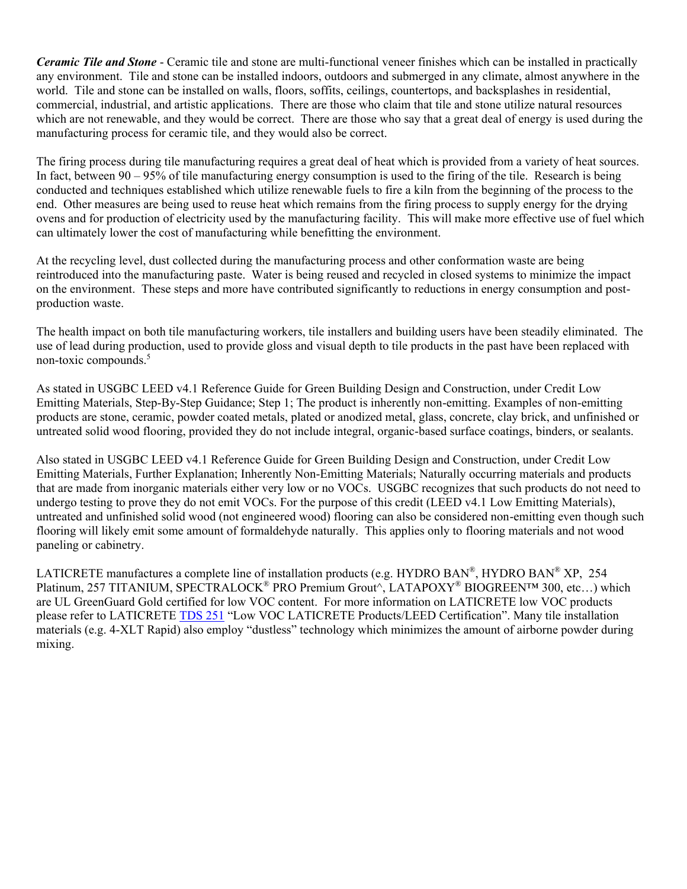*Ceramic Tile and Stone* - Ceramic tile and stone are multi-functional veneer finishes which can be installed in practically any environment. Tile and stone can be installed indoors, outdoors and submerged in any climate, almost anywhere in the world. Tile and stone can be installed on walls, floors, soffits, ceilings, countertops, and backsplashes in residential, commercial, industrial, and artistic applications. There are those who claim that tile and stone utilize natural resources which are not renewable, and they would be correct. There are those who say that a great deal of energy is used during the manufacturing process for ceramic tile, and they would also be correct.

The firing process during tile manufacturing requires a great deal of heat which is provided from a variety of heat sources. In fact, between 90 – 95% of tile manufacturing energy consumption is used to the firing of the tile. Research is being conducted and techniques established which utilize renewable fuels to fire a kiln from the beginning of the process to the end. Other measures are being used to reuse heat which remains from the firing process to supply energy for the drying ovens and for production of electricity used by the manufacturing facility. This will make more effective use of fuel which can ultimately lower the cost of manufacturing while benefitting the environment.

At the recycling level, dust collected during the manufacturing process and other conformation waste are being reintroduced into the manufacturing paste. Water is being reused and recycled in closed systems to minimize the impact on the environment. These steps and more have contributed significantly to reductions in energy consumption and postproduction waste.

The health impact on both tile manufacturing workers, tile installers and building users have been steadily eliminated. The use of lead during production, used to provide gloss and visual depth to tile products in the past have been replaced with non-toxic compounds.<sup>5</sup>

As stated in USGBC LEED v4.1 Reference Guide for Green Building Design and Construction, under Credit Low Emitting Materials, Step-By-Step Guidance; Step 1; The product is inherently non-emitting. Examples of non-emitting products are stone, ceramic, powder coated metals, plated or anodized metal, glass, concrete, clay brick, and unfinished or untreated solid wood flooring, provided they do not include integral, organic-based surface coatings, binders, or sealants.

Also stated in USGBC LEED v4.1 Reference Guide for Green Building Design and Construction, under Credit Low Emitting Materials, Further Explanation; Inherently Non-Emitting Materials; Naturally occurring materials and products that are made from inorganic materials either very low or no VOCs. USGBC recognizes that such products do not need to undergo testing to prove they do not emit VOCs. For the purpose of this credit (LEED v4.1 Low Emitting Materials), untreated and unfinished solid wood (not engineered wood) flooring can also be considered non-emitting even though such flooring will likely emit some amount of formaldehyde naturally. This applies only to flooring materials and not wood paneling or cabinetry.

LATICRETE manufactures a complete line of installation products (e.g. HYDRO BAN®, HYDRO BAN® XP, 254 Platinum, 257 TITANIUM, SPECTRALOCK® PRO Premium Grout^, LATAPOXY® BIOGREEN™ 300, etc…) which are UL GreenGuard Gold certified for low VOC content. For more information on LATICRETE low VOC products please refer to LATICRETE [TDS 251](https://cdn.laticrete.com/~/media/support-and-downloads/technical-datasheets/tds251.ashx) "Low VOC LATICRETE Products/LEED Certification". Many tile installation materials (e.g. 4-XLT Rapid) also employ "dustless" technology which minimizes the amount of airborne powder during mixing.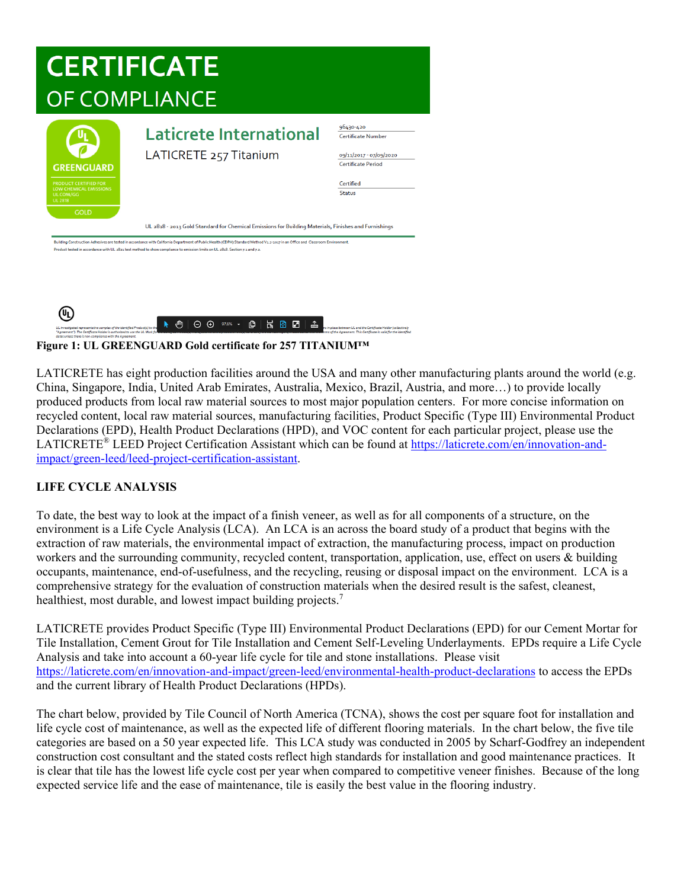## **CERTIFICATE OF COMPLIANCE** 96430-420 **Laticrete International** Certificate Number LATICRETE 257 Titanium 09/11/2017 - 07/09/2020 **Certificate Period GREENGLIARD** Certified **Status** UL 2818 - 2013 Gold Standard for Chemical Emissions for Building Materials, Finishes and Furnishings Building Construction Adhesives are tested in accordance with California Department of Public Health (CDPH) Standard Method V1.2-2017 in an Office and Classroom Environment uct tested in accordance with UL 2821 test method to show compliance to emission limits on UL 2818. Section 7.1 and 7.2



**Figure 1: UL GREENGUARD Gold certificate for 257 TITANIUM™**

LATICRETE has eight production facilities around the USA and many other manufacturing plants around the world (e.g. China, Singapore, India, United Arab Emirates, Australia, Mexico, Brazil, Austria, and more…) to provide locally produced products from local raw material sources to most major population centers. For more concise information on recycled content, local raw material sources, manufacturing facilities, Product Specific (Type III) Environmental Product Declarations (EPD), Health Product Declarations (HPD), and VOC content for each particular project, please use the LATICRETE® LEED Project Certification Assistant which can be found at [https://laticrete.com/en/innovation-and](https://laticrete.com/en/innovation-and-impact/green-leed/leed-project-certification-assistant)[impact/green-leed/leed-project-certification-assistant.](https://laticrete.com/en/innovation-and-impact/green-leed/leed-project-certification-assistant)

## **LIFE CYCLE ANALYSIS**

To date, the best way to look at the impact of a finish veneer, as well as for all components of a structure, on the environment is a Life Cycle Analysis (LCA). An LCA is an across the board study of a product that begins with the extraction of raw materials, the environmental impact of extraction, the manufacturing process, impact on production workers and the surrounding community, recycled content, transportation, application, use, effect on users & building occupants, maintenance, end-of-usefulness, and the recycling, reusing or disposal impact on the environment. LCA is a comprehensive strategy for the evaluation of construction materials when the desired result is the safest, cleanest, healthiest, most durable, and lowest impact building projects.<sup>7</sup>

LATICRETE provides Product Specific (Type III) Environmental Product Declarations (EPD) for our Cement Mortar for Tile Installation, Cement Grout for Tile Installation and Cement Self-Leveling Underlayments. EPDs require a Life Cycle Analysis and take into account a 60-year life cycle for tile and stone installations. Please visit <https://laticrete.com/en/innovation-and-impact/green-leed/environmental-health-product-declarations> to access the EPDs and the current library of Health Product Declarations (HPDs).

The chart below, provided by Tile Council of North America (TCNA), shows the cost per square foot for installation and life cycle cost of maintenance, as well as the expected life of different flooring materials. In the chart below, the five tile categories are based on a 50 year expected life. This LCA study was conducted in 2005 by Scharf-Godfrey an independent construction cost consultant and the stated costs reflect high standards for installation and good maintenance practices. It is clear that tile has the lowest life cycle cost per year when compared to competitive veneer finishes. Because of the long expected service life and the ease of maintenance, tile is easily the best value in the flooring industry.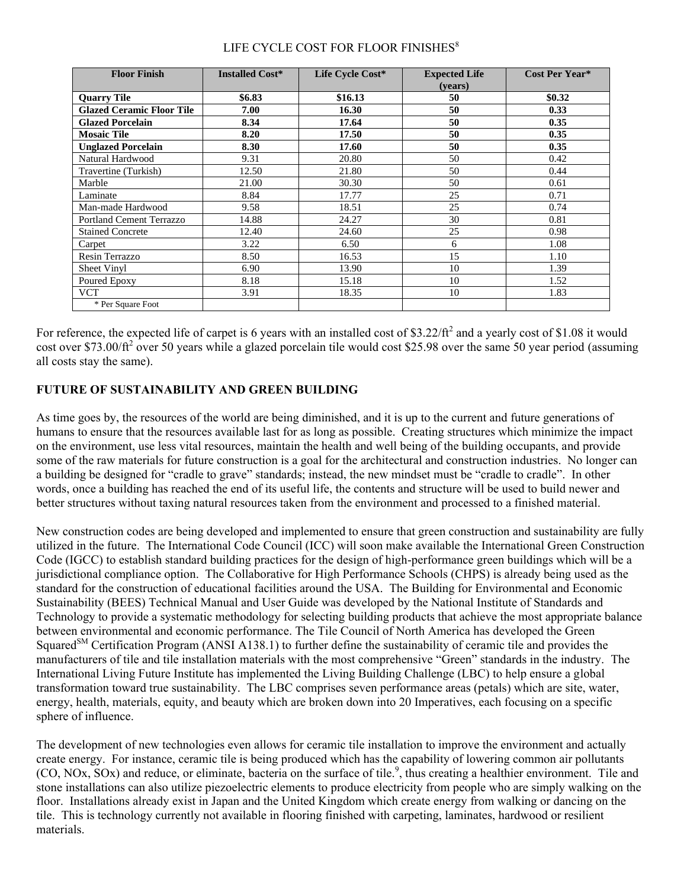| <b>Floor Finish</b>              | <b>Installed Cost*</b> | Life Cycle Cost* | <b>Expected Life</b><br>(vears) | Cost Per Year* |
|----------------------------------|------------------------|------------------|---------------------------------|----------------|
| <b>Quarry Tile</b>               | \$6.83                 | \$16.13          | 50                              | \$0.32         |
| <b>Glazed Ceramic Floor Tile</b> | 7.00                   | 16.30            | 50                              | 0.33           |
| <b>Glazed Porcelain</b>          | 8.34                   | 17.64            | 50                              | 0.35           |
| <b>Mosaic Tile</b>               | 8.20                   | 17.50            | 50                              | 0.35           |
| <b>Unglazed Porcelain</b>        | 8.30                   | 17.60            | 50                              | 0.35           |
| Natural Hardwood                 | 9.31                   | 20.80            | 50                              | 0.42           |
| Travertine (Turkish)             | 12.50                  | 21.80            | 50                              | 0.44           |
| Marble                           | 21.00                  | 30.30            | 50                              | 0.61           |
| Laminate                         | 8.84                   | 17.77            | 25                              | 0.71           |
| Man-made Hardwood                | 9.58                   | 18.51            | 25                              | 0.74           |
| <b>Portland Cement Terrazzo</b>  | 14.88                  | 24.27            | 30                              | 0.81           |
| <b>Stained Concrete</b>          | 12.40                  | 24.60            | 25                              | 0.98           |
| Carpet                           | 3.22                   | 6.50             | 6                               | 1.08           |
| Resin Terrazzo                   | 8.50                   | 16.53            | 15                              | 1.10           |
| Sheet Vinyl                      | 6.90                   | 13.90            | 10                              | 1.39           |
| Poured Epoxy                     | 8.18                   | 15.18            | 10                              | 1.52           |
| <b>VCT</b>                       | 3.91                   | 18.35            | 10                              | 1.83           |
| * Per Square Foot                |                        |                  |                                 |                |

#### LIFE CYCLE COST FOR FLOOR FINISHES<sup>8</sup>

For reference, the expected life of carpet is 6 years with an installed cost of \$3.22/ $ft^2$  and a yearly cost of \$1.08 it would cost over \$73.00/ft<sup>2</sup> over 50 years while a glazed porcelain tile would cost \$25.98 over the same 50 year period (assuming all costs stay the same).

### **FUTURE OF SUSTAINABILITY AND GREEN BUILDING**

As time goes by, the resources of the world are being diminished, and it is up to the current and future generations of humans to ensure that the resources available last for as long as possible. Creating structures which minimize the impact on the environment, use less vital resources, maintain the health and well being of the building occupants, and provide some of the raw materials for future construction is a goal for the architectural and construction industries. No longer can a building be designed for "cradle to grave" standards; instead, the new mindset must be "cradle to cradle". In other words, once a building has reached the end of its useful life, the contents and structure will be used to build newer and better structures without taxing natural resources taken from the environment and processed to a finished material.

New construction codes are being developed and implemented to ensure that green construction and sustainability are fully utilized in the future. The International Code Council (ICC) will soon make available the International Green Construction Code (IGCC) to establish standard building practices for the design of high-performance green buildings which will be a jurisdictional compliance option. The Collaborative for High Performance Schools (CHPS) is already being used as the standard for the construction of educational facilities around the USA. The Building for Environmental and Economic Sustainability (BEES) Technical Manual and User Guide was developed by the National Institute of Standards and Technology to provide a systematic methodology for selecting building products that achieve the most appropriate balance between environmental and economic performance. The Tile Council of North America has developed the Green Squared<sup>SM</sup> Certification Program (ANSI A138.1) to further define the sustainability of ceramic tile and provides the manufacturers of tile and tile installation materials with the most comprehensive "Green" standards in the industry. The International Living Future Institute has implemented the Living Building Challenge (LBC) to help ensure a global transformation toward true sustainability. The LBC comprises seven performance areas (petals) which are site, water, energy, health, materials, equity, and beauty which are broken down into 20 Imperatives, each focusing on a specific sphere of influence.

The development of new technologies even allows for ceramic tile installation to improve the environment and actually create energy. For instance, ceramic tile is being produced which has the capability of lowering common air pollutants (CO, NOx, SOx) and reduce, or eliminate, bacteria on the surface of tile.<sup>9</sup>, thus creating a healthier environment. Tile and stone installations can also utilize piezoelectric elements to produce electricity from people who are simply walking on the floor. Installations already exist in Japan and the United Kingdom which create energy from walking or dancing on the tile. This is technology currently not available in flooring finished with carpeting, laminates, hardwood or resilient materials.